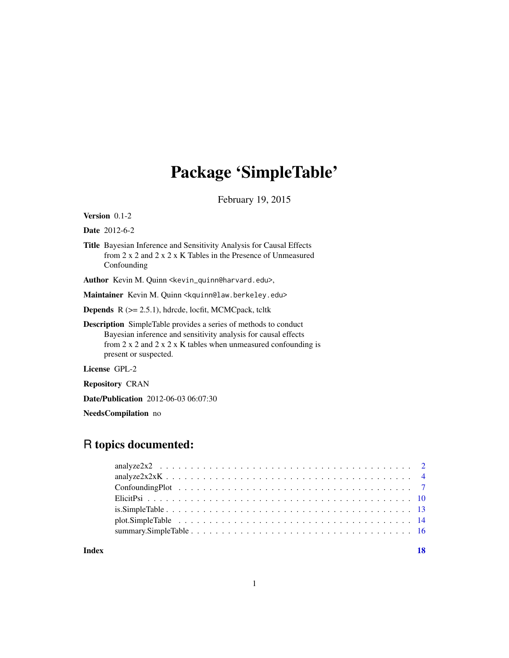## Package 'SimpleTable'

February 19, 2015

Version 0.1-2

Date 2012-6-2

Title Bayesian Inference and Sensitivity Analysis for Causal Effects from 2 x 2 and 2 x 2 x K Tables in the Presence of Unmeasured Confounding

Author Kevin M. Quinn <kevin\_quinn@harvard.edu>,

Maintainer Kevin M. Quinn <kquinn@law.berkeley.edu>

**Depends**  $R$  ( $> = 2.5.1$ ), hdrcde, locfit, MCMCpack, tcltk

Description SimpleTable provides a series of methods to conduct Bayesian inference and sensitivity analysis for causal effects from  $2 \times 2$  and  $2 \times 2 \times K$  tables when unmeasured confounding is present or suspected.

License GPL-2

Repository CRAN

Date/Publication 2012-06-03 06:07:30

NeedsCompilation no

## R topics documented:

| Index | 18 |
|-------|----|
|       |    |
|       |    |
|       |    |
|       |    |
|       |    |
|       |    |
|       |    |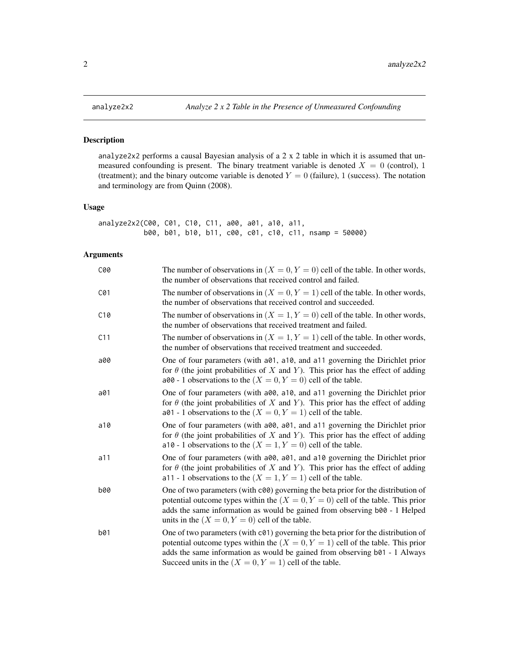<span id="page-1-1"></span><span id="page-1-0"></span>

#### Description

analyze2x2 performs a causal Bayesian analysis of a 2 x 2 table in which it is assumed that unmeasured confounding is present. The binary treatment variable is denoted  $X = 0$  (control), 1 (treatment); and the binary outcome variable is denoted  $Y = 0$  (failure), 1 (success). The notation and terminology are from Quinn (2008).

## Usage

```
analyze2x2(C00, C01, C10, C11, a00, a01, a10, a11,
          b00, b01, b10, b11, c00, c01, c10, c11, nsamp = 50000)
```

| C00             | The number of observations in $(X = 0, Y = 0)$ cell of the table. In other words,<br>the number of observations that received control and failed.                                                                                                                                                                      |
|-----------------|------------------------------------------------------------------------------------------------------------------------------------------------------------------------------------------------------------------------------------------------------------------------------------------------------------------------|
| C01             | The number of observations in $(X = 0, Y = 1)$ cell of the table. In other words,<br>the number of observations that received control and succeeded.                                                                                                                                                                   |
| C10             | The number of observations in $(X = 1, Y = 0)$ cell of the table. In other words,<br>the number of observations that received treatment and failed.                                                                                                                                                                    |
| C <sub>11</sub> | The number of observations in $(X = 1, Y = 1)$ cell of the table. In other words,<br>the number of observations that received treatment and succeeded.                                                                                                                                                                 |
| a00             | One of four parameters (with a01, a10, and a11 governing the Dirichlet prior<br>for $\theta$ (the joint probabilities of X and Y). This prior has the effect of adding<br>a00 - 1 observations to the $(X = 0, Y = 0)$ cell of the table.                                                                              |
| a01             | One of four parameters (with a00, a10, and a11 governing the Dirichlet prior<br>for $\theta$ (the joint probabilities of X and Y). This prior has the effect of adding<br>a01 - 1 observations to the $(X = 0, Y = 1)$ cell of the table.                                                                              |
| a10             | One of four parameters (with a00, a01, and a11 governing the Dirichlet prior<br>for $\theta$ (the joint probabilities of X and Y). This prior has the effect of adding<br>a10 - 1 observations to the $(X = 1, Y = 0)$ cell of the table.                                                                              |
| a11             | One of four parameters (with a00, a01, and a10 governing the Dirichlet prior<br>for $\theta$ (the joint probabilities of X and Y). This prior has the effect of adding<br>a11 - 1 observations to the $(X = 1, Y = 1)$ cell of the table.                                                                              |
| <b>b00</b>      | One of two parameters (with c00) governing the beta prior for the distribution of<br>potential outcome types within the $(X = 0, Y = 0)$ cell of the table. This prior<br>adds the same information as would be gained from observing b00 - 1 Helped<br>units in the $(X = 0, Y = 0)$ cell of the table.               |
| b01             | One of two parameters (with $c^{01}$ ) governing the beta prior for the distribution of<br>potential outcome types within the $(X = 0, Y = 1)$ cell of the table. This prior<br>adds the same information as would be gained from observing b01 - 1 Always<br>Succeed units in the $(X = 0, Y = 1)$ cell of the table. |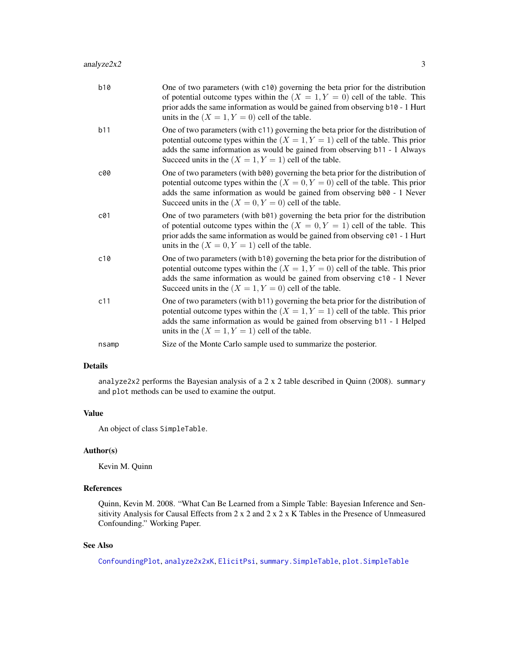<span id="page-2-0"></span>

| b10   | One of two parameters (with c10) governing the beta prior for the distribution<br>of potential outcome types within the $(X = 1, Y = 0)$ cell of the table. This<br>prior adds the same information as would be gained from observing b10 - 1 Hurt<br>units in the $(X = 1, Y = 0)$ cell of the table.           |
|-------|------------------------------------------------------------------------------------------------------------------------------------------------------------------------------------------------------------------------------------------------------------------------------------------------------------------|
| b11   | One of two parameters (with c11) governing the beta prior for the distribution of<br>potential outcome types within the $(X = 1, Y = 1)$ cell of the table. This prior<br>adds the same information as would be gained from observing b11 - 1 Always<br>Succeed units in the $(X = 1, Y = 1)$ cell of the table. |
| c00   | One of two parameters (with b00) governing the beta prior for the distribution of<br>potential outcome types within the $(X = 0, Y = 0)$ cell of the table. This prior<br>adds the same information as would be gained from observing b00 - 1 Never<br>Succeed units in the $(X = 0, Y = 0)$ cell of the table.  |
| c01   | One of two parameters (with b01) governing the beta prior for the distribution<br>of potential outcome types within the $(X = 0, Y = 1)$ cell of the table. This<br>prior adds the same information as would be gained from observing c01 - 1 Hurt<br>units in the $(X = 0, Y = 1)$ cell of the table.           |
| c10   | One of two parameters (with b10) governing the beta prior for the distribution of<br>potential outcome types within the $(X = 1, Y = 0)$ cell of the table. This prior<br>adds the same information as would be gained from observing c10 - 1 Never<br>Succeed units in the $(X = 1, Y = 0)$ cell of the table.  |
| c11   | One of two parameters (with b11) governing the beta prior for the distribution of<br>potential outcome types within the $(X = 1, Y = 1)$ cell of the table. This prior<br>adds the same information as would be gained from observing b11 - 1 Helped<br>units in the $(X = 1, Y = 1)$ cell of the table.         |
| nsamp | Size of the Monte Carlo sample used to summarize the posterior.                                                                                                                                                                                                                                                  |

analyze2x2 performs the Bayesian analysis of a 2 x 2 table described in Quinn (2008). summary and plot methods can be used to examine the output.

## Value

An object of class SimpleTable.

## Author(s)

Kevin M. Quinn

## References

Quinn, Kevin M. 2008. "What Can Be Learned from a Simple Table: Bayesian Inference and Sensitivity Analysis for Causal Effects from 2 x 2 and 2 x 2 x K Tables in the Presence of Unmeasured Confounding." Working Paper.

## See Also

[ConfoundingPlot](#page-6-1), [analyze2x2xK](#page-3-1), [ElicitPsi](#page-9-1), [summary.SimpleTable](#page-15-1), [plot.SimpleTable](#page-13-1)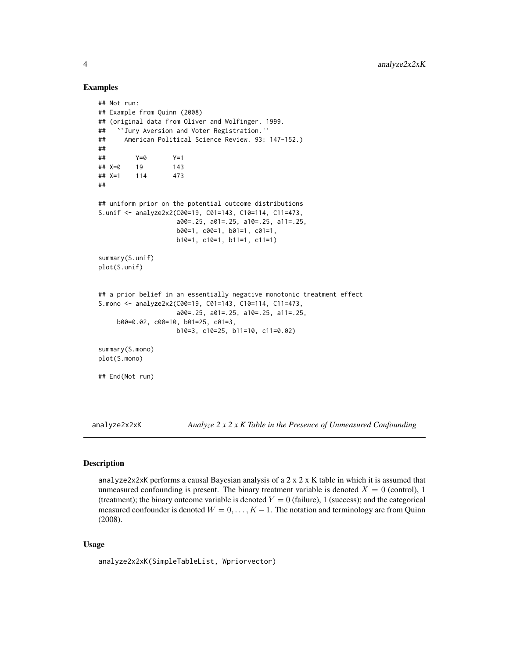#### Examples

```
## Not run:
## Example from Quinn (2008)
## (original data from Oliver and Wolfinger. 1999.
## ``Jury Aversion and Voter Registration.''
## American Political Science Review. 93: 147-152.)
##
## Y=0 Y=1
## X=0 19 143
## X=1 114 473
##
## uniform prior on the potential outcome distributions
S.unif <- analyze2x2(C00=19, C01=143, C10=114, C11=473,
                    a00=.25, a01=.25, a10=.25, a11=.25,
                    b00=1, c00=1, b01=1, c01=1,
                    b10=1, c10=1, b11=1, c11=1)
summary(S.unif)
plot(S.unif)
## a prior belief in an essentially negative monotonic treatment effect
S.mono <- analyze2x2(C00=19, C01=143, C10=114, C11=473,
                    a00=.25, a01=.25, a10=.25, a11=.25,
    b00=0.02, c00=10, b01=25, c01=3,
                    b10=3, c10=25, b11=10, c11=0.02)
summary(S.mono)
plot(S.mono)
## End(Not run)
```
<span id="page-3-1"></span>

analyze2x2xK *Analyze 2 x 2 x K Table in the Presence of Unmeasured Confounding*

#### Description

analyze2x2xK performs a causal Bayesian analysis of a  $2 \times 2 \times K$  table in which it is assumed that unmeasured confounding is present. The binary treatment variable is denoted  $X = 0$  (control), 1 (treatment); the binary outcome variable is denoted  $Y = 0$  (failure), 1 (success); and the categorical measured confounder is denoted  $W = 0, \ldots, K - 1$ . The notation and terminology are from Quinn (2008).

#### Usage

```
analyze2x2xK(SimpleTableList, Wpriorvector)
```
<span id="page-3-0"></span>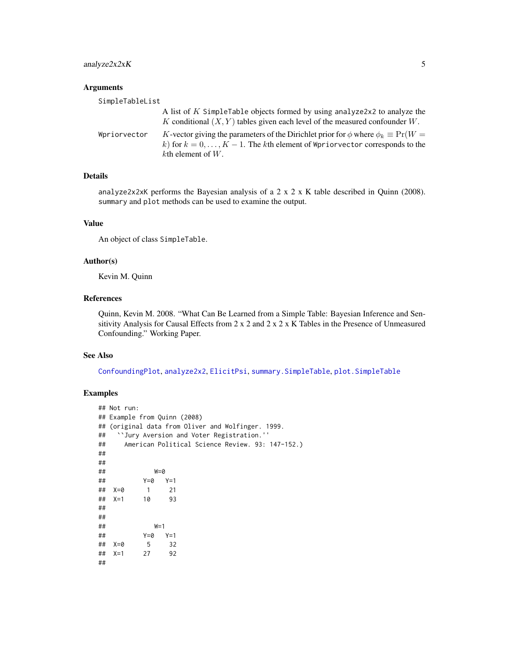## <span id="page-4-0"></span> $analyze2x2xK$  5

## Arguments

| SimpleTableList |                                                                                                                                                                                                               |
|-----------------|---------------------------------------------------------------------------------------------------------------------------------------------------------------------------------------------------------------|
|                 | A list of K SimpleTable objects formed by using analyze2x2 to analyze the<br>K conditional $(X, Y)$ tables given each level of the measured confounder W.                                                     |
| Wpriorvector    | K-vector giving the parameters of the Dirichlet prior for $\phi$ where $\phi_k \equiv Pr(W =$<br>k) for $k = 0, , K - 1$ . The kth element of Wpriorvector corresponds to the<br><i>k</i> th element of $W$ . |

## Details

analyze2x2xK performs the Bayesian analysis of a 2 x 2 x K table described in Quinn (2008). summary and plot methods can be used to examine the output.

## Value

An object of class SimpleTable.

## Author(s)

Kevin M. Quinn

## References

Quinn, Kevin M. 2008. "What Can Be Learned from a Simple Table: Bayesian Inference and Sensitivity Analysis for Causal Effects from 2 x 2 and 2 x 2 x K Tables in the Presence of Unmeasured Confounding." Working Paper.

#### See Also

[ConfoundingPlot](#page-6-1), [analyze2x2](#page-1-1), [ElicitPsi](#page-9-1), [summary.SimpleTable](#page-15-1), [plot.SimpleTable](#page-13-1)

## Examples

|    | ## Not run:                                            |                 |       |  |
|----|--------------------------------------------------------|-----------------|-------|--|
|    | ## Example from Quinn (2008)                           |                 |       |  |
|    | ## (original data from Oliver and Wolfinger. 1999.     |                 |       |  |
| ## | "Jury Aversion and Voter Registration."                |                 |       |  |
|    | American Political Science Review. 93: 147-152.)<br>## |                 |       |  |
| ## |                                                        |                 |       |  |
| ## |                                                        |                 |       |  |
| ## |                                                        | $W = Q$         |       |  |
| ## |                                                        | $Y = \emptyset$ | $Y=1$ |  |
| ## | X=0                                                    | $\mathbf{1}$    | 21    |  |
| ## | $X=1$                                                  | 10              | 93    |  |
| ## |                                                        |                 |       |  |
| ## |                                                        |                 |       |  |
| ## | $W = 1$                                                |                 |       |  |
| ## |                                                        | $Y = \emptyset$ | $Y=1$ |  |
| ## | $X=0$                                                  | - 5             | 32    |  |
| ## | $X=1$                                                  | 27              | 92    |  |
| ## |                                                        |                 |       |  |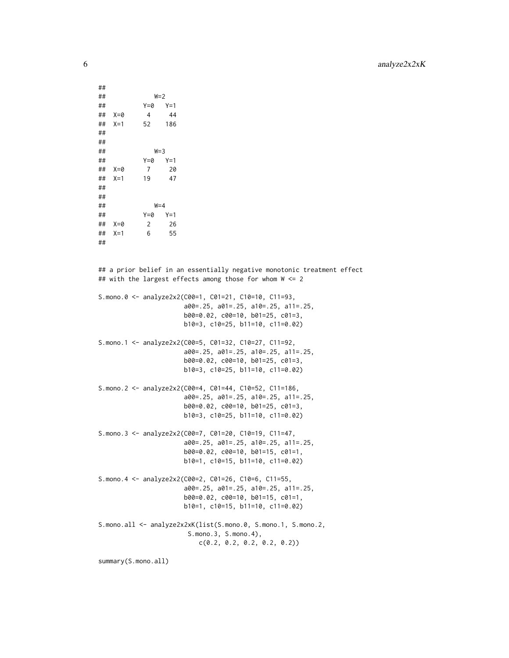| ## |       |                 |         |
|----|-------|-----------------|---------|
| ## |       |                 | W=2     |
| ## |       | $Y = \emptyset$ | $Y = 1$ |
| ## | $X=0$ | 4               | 44      |
| ## | $X=1$ | 52              | 186     |
| ## |       |                 |         |
| ## |       |                 |         |
| ## |       | $W = 3$         |         |
| ## |       | Y=0             | $Y=1$   |
| ## | $X=0$ | 7               | 20      |
| ## | $X=1$ | 19              | 47      |
| ## |       |                 |         |
| ## |       |                 |         |
| ## |       |                 | $W = 4$ |
| ## |       | $Y = \emptyset$ | $Y=1$   |
| ## | $X=0$ | $\overline{2}$  | 26      |
| ## | $X=1$ | 6               | 55      |
| ## |       |                 |         |

## a prior belief in an essentially negative monotonic treatment effect ## with the largest effects among those for whom W <= 2

S.mono.0 <- analyze2x2(C00=1, C01=21, C10=10, C11=93, a00=.25, a01=.25, a10=.25, a11=.25, b00=0.02, c00=10, b01=25, c01=3, b10=3, c10=25, b11=10, c11=0.02) S.mono.1 <- analyze2x2(C00=5, C01=32, C10=27, C11=92, a00=.25, a01=.25, a10=.25, a11=.25, b00=0.02, c00=10, b01=25, c01=3, b10=3, c10=25, b11=10, c11=0.02) S.mono.2 <- analyze2x2(C00=4, C01=44, C10=52, C11=186, a00=.25, a01=.25, a10=.25, a11=.25, b00=0.02, c00=10, b01=25, c01=3, b10=3, c10=25, b11=10, c11=0.02) S.mono.3 <- analyze2x2(C00=7, C01=20, C10=19, C11=47, a00=.25, a01=.25, a10=.25, a11=.25, b00=0.02, c00=10, b01=15, c01=1, b10=1, c10=15, b11=10, c11=0.02) S.mono.4 <- analyze2x2(C00=2, C01=26, C10=6, C11=55,

a00=.25, a01=.25, a10=.25, a11=.25, b00=0.02, c00=10, b01=15, c01=1, b10=1, c10=15, b11=10, c11=0.02) S.mono.all <- analyze2x2xK(list(S.mono.0, S.mono.1, S.mono.2, S.mono.3, S.mono.4), c(0.2, 0.2, 0.2, 0.2, 0.2))

summary(S.mono.all)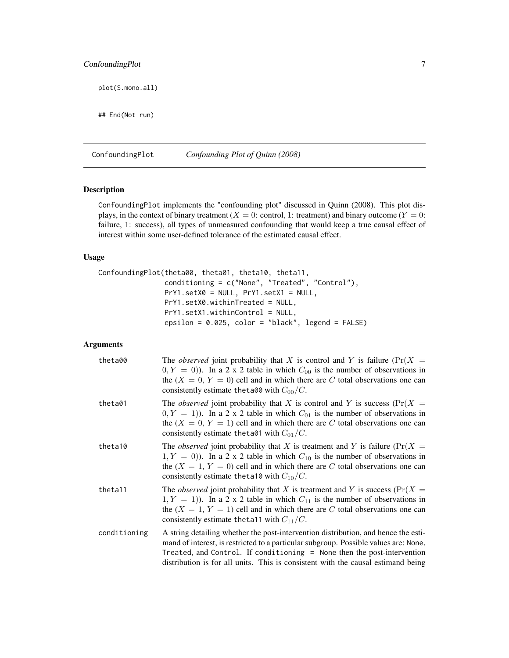## <span id="page-6-0"></span>ConfoundingPlot 7

plot(S.mono.all)

## End(Not run)

<span id="page-6-1"></span>ConfoundingPlot *Confounding Plot of Quinn (2008)*

## Description

ConfoundingPlot implements the "confounding plot" discussed in Quinn (2008). This plot displays, in the context of binary treatment ( $X = 0$ : control, 1: treatment) and binary outcome ( $Y = 0$ : failure, 1: success), all types of unmeasured confounding that would keep a true causal effect of interest within some user-defined tolerance of the estimated causal effect.

## Usage

```
ConfoundingPlot(theta00, theta01, theta10, theta11,
                conditioning = c("None", "Treated", "Control"),
                PrY1.setX0 = NULL, PrY1.setX1 = NULL,
                PrY1.setX0.withinTreated = NULL,
                PrY1.setX1.withinControl = NULL,
                epsilon = 0.025, color = "black", legend = FALSE)
```

| theta00      | The <i>observed</i> joint probability that X is control and Y is failure ( $Pr(X =$<br>$(0, Y = 0)$ ). In a 2 x 2 table in which $C_{00}$ is the number of observations in<br>the $(X = 0, Y = 0)$ cell and in which there are C total observations one can<br>consistently estimate the tall with $C_{00}/C$ .                           |
|--------------|-------------------------------------------------------------------------------------------------------------------------------------------------------------------------------------------------------------------------------------------------------------------------------------------------------------------------------------------|
| theta01      | The <i>observed</i> joint probability that X is control and Y is success ( $Pr(X =$<br>$(0, Y = 1)$ ). In a 2 x 2 table in which $C_{01}$ is the number of observations in<br>the $(X = 0, Y = 1)$ cell and in which there are C total observations one can<br>consistently estimate the ta $\theta$ 1 with $C_{01}/C$ .                  |
| theta10      | The <i>observed</i> joint probability that X is treatment and Y is failure ( $Pr(X =$<br>$(1, Y = 0)$ ). In a 2 x 2 table in which $C_{10}$ is the number of observations in<br>the $(X = 1, Y = 0)$ cell and in which there are C total observations one can<br>consistently estimate the tall with $C_{10}/C$ .                         |
| theta11      | The <i>observed</i> joint probability that X is treatment and Y is success ( $Pr(X =$<br>$1, Y = 1$ ). In a 2 x 2 table in which $C_{11}$ is the number of observations in<br>the $(X = 1, Y = 1)$ cell and in which there are C total observations one can<br>consistently estimate the tall with $C_{11}/C$ .                           |
| conditioning | A string detailing whether the post-intervention distribution, and hence the esti-<br>mand of interest, is restricted to a particular subgroup. Possible values are: None,<br>Treated, and Control. If conditioning = None then the post-intervention<br>distribution is for all units. This is consistent with the causal estimand being |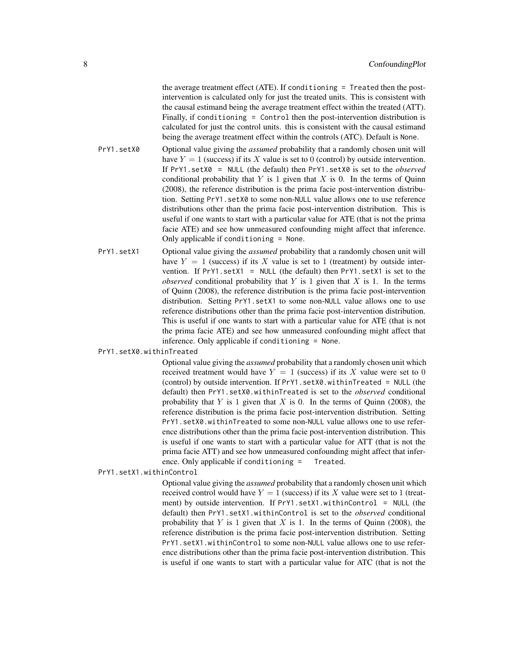the average treatment effect (ATE). If conditioning = Treated then the postintervention is calculated only for just the treated units. This is consistent with the causal estimand being the average treatment effect within the treated (ATT). Finally, if conditioning = Control then the post-intervention distribution is calculated for just the control units. this is consistent with the causal estimand being the average treatment effect within the controls (ATC). Default is None.

PrY1.setX0 Optional value giving the *assumed* probability that a randomly chosen unit will have  $Y = 1$  (success) if its X value is set to 0 (control) by outside intervention. If PrY1.setX0 = NULL (the default) then PrY1.setX0 is set to the *observed* conditional probability that  $Y$  is 1 given that  $X$  is 0. In the terms of Quinn (2008), the reference distribution is the prima facie post-intervention distribution. Setting PrY1.setX0 to some non-NULL value allows one to use reference distributions other than the prima facie post-intervention distribution. This is useful if one wants to start with a particular value for ATE (that is not the prima facie ATE) and see how unmeasured confounding might affect that inference. Only applicable if conditioning = None.

PrY1.setX1 Optional value giving the *assumed* probability that a randomly chosen unit will have  $Y = 1$  (success) if its X value is set to 1 (treatment) by outside intervention. If  $PrY1.setX1 = NULL$  (the default) then  $PrY1.setX1$  is set to the *observed* conditional probability that  $Y$  is 1 given that  $X$  is 1. In the terms of Quinn (2008), the reference distribution is the prima facie post-intervention distribution. Setting PrY1.setX1 to some non-NULL value allows one to use reference distributions other than the prima facie post-intervention distribution. This is useful if one wants to start with a particular value for ATE (that is not the prima facie ATE) and see how unmeasured confounding might affect that inference. Only applicable if conditioning = None.

PrY1.setX0.withinTreated

Optional value giving the *assumed* probability that a randomly chosen unit which received treatment would have  $Y = 1$  (success) if its X value were set to 0 (control) by outside intervention. If PrY1.setX0.withinTreated = NULL (the default) then PrY1.setX0.withinTreated is set to the *observed* conditional probability that  $Y$  is 1 given that  $X$  is 0. In the terms of Quinn (2008), the reference distribution is the prima facie post-intervention distribution. Setting PrY1.setX0.withinTreated to some non-NULL value allows one to use reference distributions other than the prima facie post-intervention distribution. This is useful if one wants to start with a particular value for ATT (that is not the prima facie ATT) and see how unmeasured confounding might affect that inference. Only applicable if conditioning = Treated.

PrY1.setX1.withinControl

Optional value giving the *assumed* probability that a randomly chosen unit which received control would have  $Y = 1$  (success) if its X value were set to 1 (treatment) by outside intervention. If PrY1.setX1.withinControl = NULL (the default) then PrY1.setX1.withinControl is set to the *observed* conditional probability that Y is 1 given that X is 1. In the terms of Quinn (2008), the reference distribution is the prima facie post-intervention distribution. Setting PrY1.setX1.withinControl to some non-NULL value allows one to use reference distributions other than the prima facie post-intervention distribution. This is useful if one wants to start with a particular value for ATC (that is not the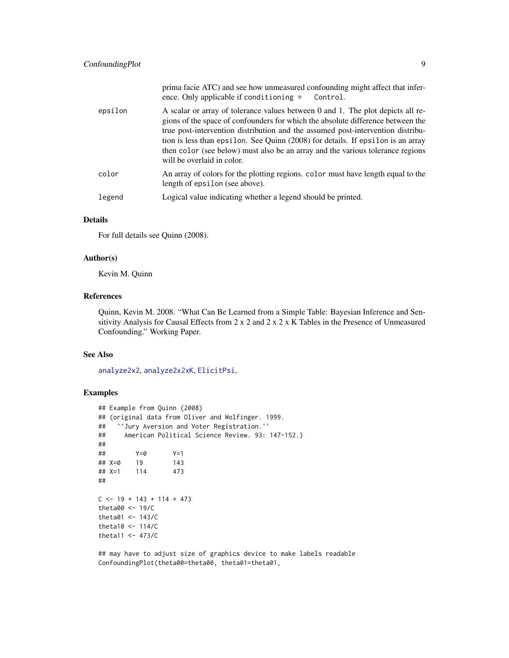<span id="page-8-0"></span>

|         | prima facie ATC) and see how unmeasured confounding might affect that infer-<br>ence. Only applicable if conditioning = Control.                                                                                                                                                                                                                                                                                                                         |
|---------|----------------------------------------------------------------------------------------------------------------------------------------------------------------------------------------------------------------------------------------------------------------------------------------------------------------------------------------------------------------------------------------------------------------------------------------------------------|
| epsilon | A scalar or array of tolerance values between 0 and 1. The plot depicts all re-<br>gions of the space of confounders for which the absolute difference between the<br>true post-intervention distribution and the assumed post-intervention distribu-<br>tion is less than epsilon. See Quinn (2008) for details. If epsilon is an array<br>then color (see below) must also be an array and the various tolerance regions<br>will be overlaid in color. |
| color   | An array of colors for the plotting regions. color must have length equal to the<br>length of epsilon (see above).                                                                                                                                                                                                                                                                                                                                       |
| legend  | Logical value indicating whether a legend should be printed.                                                                                                                                                                                                                                                                                                                                                                                             |

For full details see Quinn (2008).

#### Author(s)

Kevin M. Quinn

## References

Quinn, Kevin M. 2008. "What Can Be Learned from a Simple Table: Bayesian Inference and Sensitivity Analysis for Causal Effects from 2 x 2 and 2 x 2 x K Tables in the Presence of Unmeasured Confounding." Working Paper.

## See Also

[analyze2x2](#page-1-1), [analyze2x2xK](#page-3-1), [ElicitPsi](#page-9-1),

## Examples

```
## Example from Quinn (2008)
## (original data from Oliver and Wolfinger. 1999.
## ``Jury Aversion and Voter Registration.''
## American Political Science Review. 93: 147-152.)
##
## Y=0 Y=1
## X=0 19 143
## X=1 114 473
##
C \le -19 + 143 + 114 + 473theta00 <- 19/C
theta01 <- 143/C
theta10 <- 114/C
theta11 <- 473/C
```
## may have to adjust size of graphics device to make labels readable ConfoundingPlot(theta00=theta00, theta01=theta01,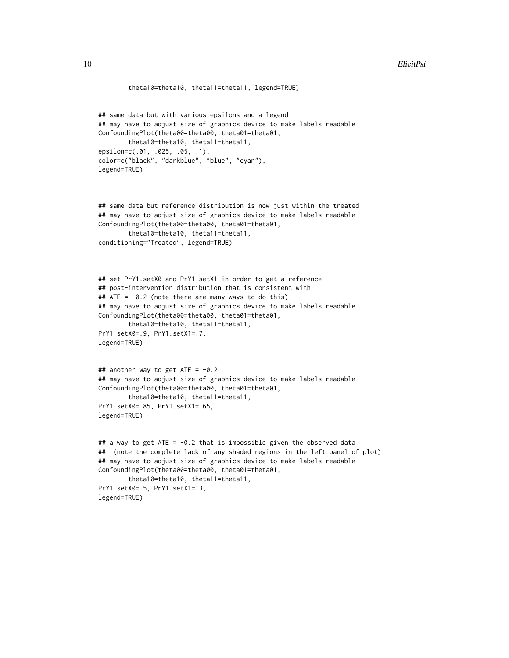```
theta10=theta10, theta11=theta11, legend=TRUE)
## same data but with various epsilons and a legend
## may have to adjust size of graphics device to make labels readable
ConfoundingPlot(theta00=theta00, theta01=theta01,
       theta10=theta10, theta11=theta11,
epsilon=c(.01, .025, .05, .1),
color=c("black", "darkblue", "blue", "cyan"),
legend=TRUE)
## same data but reference distribution is now just within the treated
## may have to adjust size of graphics device to make labels readable
ConfoundingPlot(theta00=theta00, theta01=theta01,
        theta10=theta10, theta11=theta11,
conditioning="Treated", legend=TRUE)
## set PrY1.setX0 and PrY1.setX1 in order to get a reference
## post-intervention distribution that is consistent with
## ATE = -0.2 (note there are many ways to do this)
## may have to adjust size of graphics device to make labels readable
ConfoundingPlot(theta00=theta00, theta01=theta01,
        theta10=theta10, theta11=theta11,
PrY1.setX0=.9, PrY1.setX1=.7,
legend=TRUE)
## another way to get ATE = -0.2## may have to adjust size of graphics device to make labels readable
ConfoundingPlot(theta00=theta00, theta01=theta01,
        theta10=theta10, theta11=theta11,
PrY1.setX0=.85, PrY1.setX1=.65,
legend=TRUE)
## a way to get ATE = -0.2 that is impossible given the observed data
## (note the complete lack of any shaded regions in the left panel of plot)
## may have to adjust size of graphics device to make labels readable
ConfoundingPlot(theta00=theta00, theta01=theta01,
        theta10=theta10, theta11=theta11,
PrY1.setX0=.5, PrY1.setX1=.3,
legend=TRUE)
```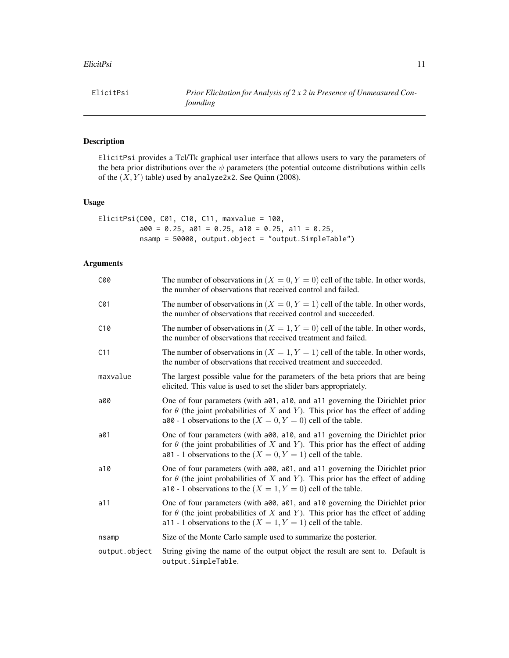<span id="page-10-0"></span>

## Description

ElicitPsi provides a Tcl/Tk graphical user interface that allows users to vary the parameters of the beta prior distributions over the  $\psi$  parameters (the potential outcome distributions within cells of the  $(X, Y)$  table) used by analyze2x2. See Quinn (2008).

## Usage

```
ElicitPsi(C00, C01, C10, C11, maxvalue = 100,
          a00 = 0.25, a01 = 0.25, a10 = 0.25, a11 = 0.25,
          nsamp = 50000, output.object = "output.SimpleTable")
```

| C00           | The number of observations in $(X = 0, Y = 0)$ cell of the table. In other words,<br>the number of observations that received control and failed.                                                                                                 |
|---------------|---------------------------------------------------------------------------------------------------------------------------------------------------------------------------------------------------------------------------------------------------|
| C01           | The number of observations in $(X = 0, Y = 1)$ cell of the table. In other words,<br>the number of observations that received control and succeeded.                                                                                              |
| C10           | The number of observations in $(X = 1, Y = 0)$ cell of the table. In other words,<br>the number of observations that received treatment and failed.                                                                                               |
| C11           | The number of observations in $(X = 1, Y = 1)$ cell of the table. In other words,<br>the number of observations that received treatment and succeeded.                                                                                            |
| maxvalue      | The largest possible value for the parameters of the beta priors that are being<br>elicited. This value is used to set the slider bars appropriately.                                                                                             |
| a00           | One of four parameters (with $a01$ , $a10$ , and $a11$ governing the Dirichlet prior<br>for $\theta$ (the joint probabilities of X and Y). This prior has the effect of adding<br>a00 - 1 observations to the $(X = 0, Y = 0)$ cell of the table. |
| a01           | One of four parameters (with a00, a10, and a11 governing the Dirichlet prior<br>for $\theta$ (the joint probabilities of X and Y). This prior has the effect of adding<br>a01 - 1 observations to the $(X = 0, Y = 1)$ cell of the table.         |
| a10           | One of four parameters (with a00, a01, and a11 governing the Dirichlet prior<br>for $\theta$ (the joint probabilities of X and Y). This prior has the effect of adding<br>a10 - 1 observations to the $(X = 1, Y = 0)$ cell of the table.         |
| a11           | One of four parameters (with a00, a01, and a10 governing the Dirichlet prior<br>for $\theta$ (the joint probabilities of X and Y). This prior has the effect of adding<br>a11 - 1 observations to the $(X = 1, Y = 1)$ cell of the table.         |
| nsamp         | Size of the Monte Carlo sample used to summarize the posterior.                                                                                                                                                                                   |
| output.object | String giving the name of the output object the result are sent to. Default is<br>output.SimpleTable.                                                                                                                                             |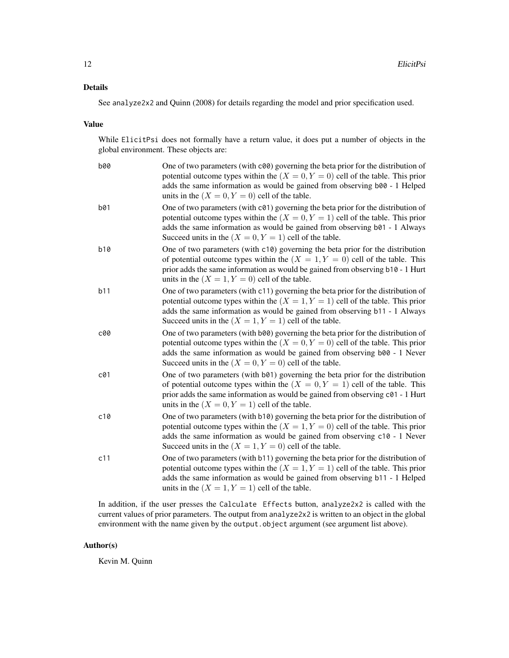See analyze2x2 and Quinn (2008) for details regarding the model and prior specification used.

## Value

While ElicitPsi does not formally have a return value, it does put a number of objects in the global environment. These objects are:

| b00 | One of two parameters (with c00) governing the beta prior for the distribution of<br>potential outcome types within the $(X = 0, Y = 0)$ cell of the table. This prior<br>adds the same information as would be gained from observing b00 - 1 Helped<br>units in the $(X = 0, Y = 0)$ cell of the table.         |
|-----|------------------------------------------------------------------------------------------------------------------------------------------------------------------------------------------------------------------------------------------------------------------------------------------------------------------|
| b01 | One of two parameters (with c01) governing the beta prior for the distribution of<br>potential outcome types within the $(X = 0, Y = 1)$ cell of the table. This prior<br>adds the same information as would be gained from observing b01 - 1 Always<br>Succeed units in the $(X = 0, Y = 1)$ cell of the table. |
| b10 | One of two parameters (with c10) governing the beta prior for the distribution<br>of potential outcome types within the $(X = 1, Y = 0)$ cell of the table. This<br>prior adds the same information as would be gained from observing b10 - 1 Hurt<br>units in the $(X = 1, Y = 0)$ cell of the table.           |
| b11 | One of two parameters (with c11) governing the beta prior for the distribution of<br>potential outcome types within the $(X = 1, Y = 1)$ cell of the table. This prior<br>adds the same information as would be gained from observing b11 - 1 Always<br>Succeed units in the $(X = 1, Y = 1)$ cell of the table. |
| c00 | One of two parameters (with b00) governing the beta prior for the distribution of<br>potential outcome types within the $(X = 0, Y = 0)$ cell of the table. This prior<br>adds the same information as would be gained from observing b00 - 1 Never<br>Succeed units in the $(X = 0, Y = 0)$ cell of the table.  |
| c01 | One of two parameters (with b01) governing the beta prior for the distribution<br>of potential outcome types within the $(X = 0, Y = 1)$ cell of the table. This<br>prior adds the same information as would be gained from observing c01 - 1 Hurt<br>units in the $(X = 0, Y = 1)$ cell of the table.           |
| c10 | One of two parameters (with b10) governing the beta prior for the distribution of<br>potential outcome types within the $(X = 1, Y = 0)$ cell of the table. This prior<br>adds the same information as would be gained from observing c10 - 1 Never<br>Succeed units in the $(X = 1, Y = 0)$ cell of the table.  |
| c11 | One of two parameters (with b11) governing the beta prior for the distribution of<br>potential outcome types within the $(X = 1, Y = 1)$ cell of the table. This prior<br>adds the same information as would be gained from observing b11 - 1 Helped<br>units in the $(X = 1, Y = 1)$ cell of the table.         |
|     |                                                                                                                                                                                                                                                                                                                  |

In addition, if the user presses the Calculate Effects button, analyze2x2 is called with the current values of prior parameters. The output from analyze2x2 is written to an object in the global environment with the name given by the output.object argument (see argument list above).

#### Author(s)

Kevin M. Quinn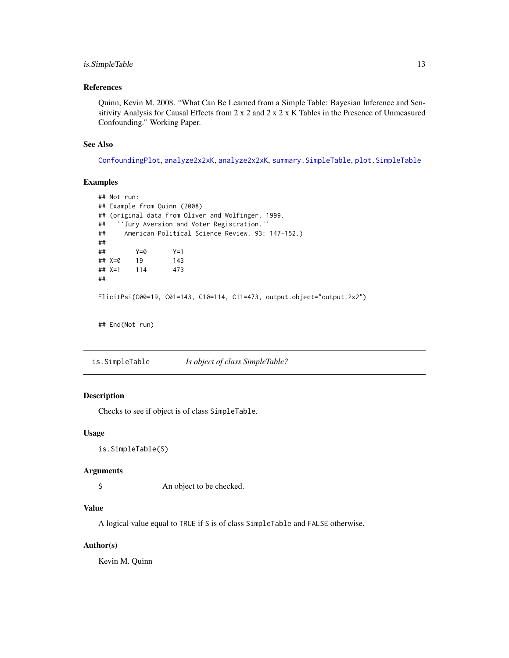## <span id="page-12-0"></span>is.SimpleTable 13

## References

Quinn, Kevin M. 2008. "What Can Be Learned from a Simple Table: Bayesian Inference and Sensitivity Analysis for Causal Effects from 2 x 2 and 2 x 2 x K Tables in the Presence of Unmeasured Confounding." Working Paper.

#### See Also

[ConfoundingPlot](#page-6-1), [analyze2x2xK](#page-3-1), [analyze2x2xK](#page-3-1), [summary.SimpleTable](#page-15-1), [plot.SimpleTable](#page-13-1)

## Examples

```
## Not run:
## Example from Quinn (2008)
## (original data from Oliver and Wolfinger. 1999.
## ``Jury Aversion and Voter Registration.''
## American Political Science Review. 93: 147-152.)
##
## Y=0 Y=1
## X=0 19 143
## X=1 114 473
##
ElicitPsi(C00=19, C01=143, C10=114, C11=473, output.object="output.2x2")
## End(Not run)
```
is.SimpleTable *Is object of class SimpleTable?*

## Description

Checks to see if object is of class SimpleTable.

#### Usage

```
is.SimpleTable(S)
```
#### Arguments

S An object to be checked.

## Value

A logical value equal to TRUE if S is of class SimpleTable and FALSE otherwise.

#### Author(s)

Kevin M. Quinn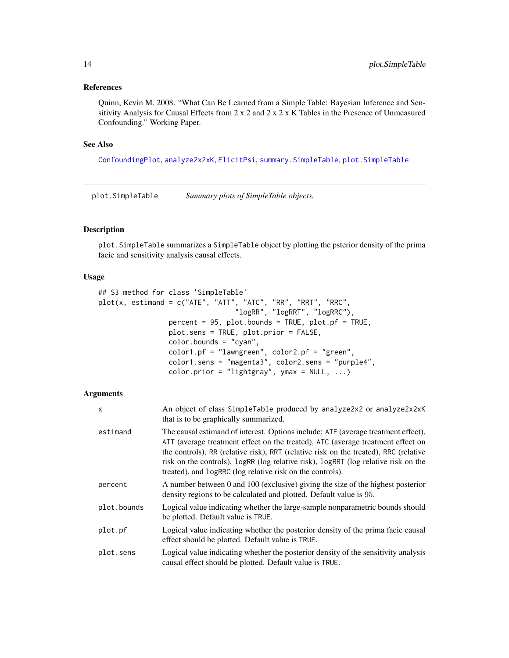#### <span id="page-13-0"></span>References

Quinn, Kevin M. 2008. "What Can Be Learned from a Simple Table: Bayesian Inference and Sensitivity Analysis for Causal Effects from 2 x 2 and 2 x 2 x K Tables in the Presence of Unmeasured Confounding." Working Paper.

#### See Also

[ConfoundingPlot](#page-6-1), [analyze2x2xK](#page-3-1), [ElicitPsi](#page-9-1), [summary.SimpleTable](#page-15-1), [plot.SimpleTable](#page-13-1)

<span id="page-13-1"></span>plot.SimpleTable *Summary plots of SimpleTable objects.*

#### Description

plot.SimpleTable summarizes a SimpleTable object by plotting the psterior density of the prima facie and sensitivity analysis causal effects.

### Usage

```
## S3 method for class 'SimpleTable'
plot(x, estimand = c("ATE", "ATT", "ATC", "RR", "RRT", "RRC",
                                 "logRR", "logRRT", "logRRC"),
                 percent = 95, plot.bounds = TRUE, plot.pf = TRUE,
                 plot.sens = TRUE, plot.prior = FALSE,
                 color.bounds = "cyan",
                 color1.pf = "lawngreen", color2.pf = "green",
                 color1.sens = "magenta3", color2.sens = "purple4",
                 color.prior = "lightgray", ymax = NULL, ...)
```

| X           | An object of class SimpleTable produced by analyze2x2 or analyze2x2xK<br>that is to be graphically summarized.                                                                                                                                                                                                                                                                                                  |
|-------------|-----------------------------------------------------------------------------------------------------------------------------------------------------------------------------------------------------------------------------------------------------------------------------------------------------------------------------------------------------------------------------------------------------------------|
| estimand    | The causal estimand of interest. Options include: ATE (average treatment effect),<br>ATT (average treatment effect on the treated), ATC (average treatment effect on<br>the controls), RR (relative risk), RRT (relative risk on the treated), RRC (relative<br>risk on the controls), logRR (log relative risk), logRRT (log relative risk on the<br>treated), and logRRC (log relative risk on the controls). |
| percent     | A number between 0 and 100 (exclusive) giving the size of the highest posterior<br>density regions to be calculated and plotted. Default value is 95.                                                                                                                                                                                                                                                           |
| plot.bounds | Logical value indicating whether the large-sample nonparametric bounds should<br>be plotted. Default value is TRUE.                                                                                                                                                                                                                                                                                             |
| plot.pf     | Logical value indicating whether the posterior density of the prima facie causal<br>effect should be plotted. Default value is TRUE.                                                                                                                                                                                                                                                                            |
| plot.sens   | Logical value indicating whether the posterior density of the sensitivity analysis<br>causal effect should be plotted. Default value is TRUE.                                                                                                                                                                                                                                                                   |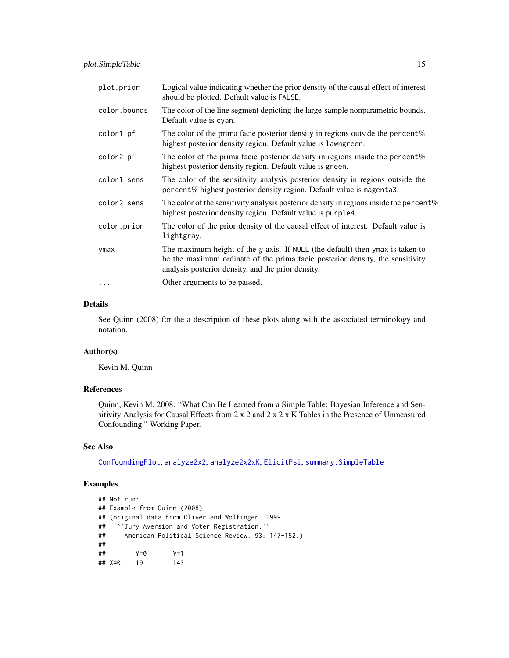<span id="page-14-0"></span>

| plot.prior   | Logical value indicating whether the prior density of the causal effect of interest<br>should be plotted. Default value is FALSE.                                                                                    |
|--------------|----------------------------------------------------------------------------------------------------------------------------------------------------------------------------------------------------------------------|
| color.bounds | The color of the line segment depicting the large-sample nonparametric bounds.<br>Default value is cyan.                                                                                                             |
| color1.pf    | The color of the prima facie posterior density in regions outside the percent $\%$<br>highest posterior density region. Default value is lawngreen.                                                                  |
| color2.pf    | The color of the prima facie posterior density in regions inside the percent $\%$<br>highest posterior density region. Default value is green.                                                                       |
| color1.sens  | The color of the sensitivity analysis posterior density in regions outside the<br>percent% highest posterior density region. Default value is magenta3.                                                              |
| color2.sens  | The color of the sensitivity analysis posterior density in regions inside the percent $\%$<br>highest posterior density region. Default value is purple4.                                                            |
| color.prior  | The color of the prior density of the causal effect of interest. Default value is<br>lightgray.                                                                                                                      |
| ymax         | The maximum height of the y-axis. If NULL (the default) then ymax is taken to<br>be the maximum ordinate of the prima facie posterior density, the sensitivity<br>analysis posterior density, and the prior density. |
| $\ddotsc$    | Other arguments to be passed.                                                                                                                                                                                        |

See Quinn (2008) for the a description of these plots along with the associated terminology and notation.

## Author(s)

Kevin M. Quinn

## References

Quinn, Kevin M. 2008. "What Can Be Learned from a Simple Table: Bayesian Inference and Sensitivity Analysis for Causal Effects from 2 x 2 and 2 x 2 x K Tables in the Presence of Unmeasured Confounding." Working Paper.

## See Also

[ConfoundingPlot](#page-6-1), [analyze2x2](#page-1-1), [analyze2x2xK](#page-3-1), [ElicitPsi](#page-9-1), [summary.SimpleTable](#page-15-1)

## Examples

```
## Not run:
## Example from Quinn (2008)
## (original data from Oliver and Wolfinger. 1999.
## ``Jury Aversion and Voter Registration.''
## American Political Science Review. 93: 147-152.)
##
## Y=0 Y=1
## X=0 19
```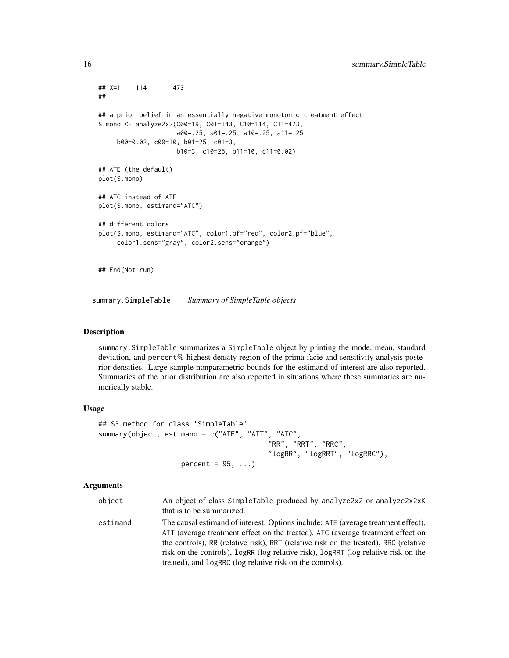```
## X=1 114 473
##
## a prior belief in an essentially negative monotonic treatment effect
S.mono <- analyze2x2(C00=19, C01=143, C10=114, C11=473,
                    a00=.25, a01=.25, a10=.25, a11=.25,
     b00=0.02, c00=10, b01=25, c01=3,
                    b10=3, c10=25, b11=10, c11=0.02)
## ATE (the default)
plot(S.mono)
## ATC instead of ATE
plot(S.mono, estimand="ATC")
## different colors
plot(S.mono, estimand="ATC", color1.pf="red", color2.pf="blue",
     color1.sens="gray", color2.sens="orange")
## End(Not run)
```
<span id="page-15-1"></span>summary.SimpleTable *Summary of SimpleTable objects*

#### Description

summary.SimpleTable summarizes a SimpleTable object by printing the mode, mean, standard deviation, and percent% highest density region of the prima facie and sensitivity analysis posterior densities. Large-sample nonparametric bounds for the estimand of interest are also reported. Summaries of the prior distribution are also reported in situations where these summaries are numerically stable.

#### Usage

```
## S3 method for class 'SimpleTable'
summary(object, estimand = c("ATE", "ATT", "ATC",
                                          "RR", "RRT", "RRC",
                                          "logRR", "logRRT", "logRRC"),
                    percent = 95, ...)
```

| object   | An object of class SimpleTable produced by analyze2x2 or analyze2x2xK<br>that is to be summarized.                                                                                                                                                                                                                                                                                                              |
|----------|-----------------------------------------------------------------------------------------------------------------------------------------------------------------------------------------------------------------------------------------------------------------------------------------------------------------------------------------------------------------------------------------------------------------|
| estimand | The causal estimand of interest. Options include: ATE (average treatment effect),<br>ATT (average treatment effect on the treated), ATC (average treatment effect on<br>the controls), RR (relative risk), RRT (relative risk on the treated), RRC (relative<br>risk on the controls), logRR (log relative risk), logRRT (log relative risk on the<br>treated), and logRRC (log relative risk on the controls). |

<span id="page-15-0"></span>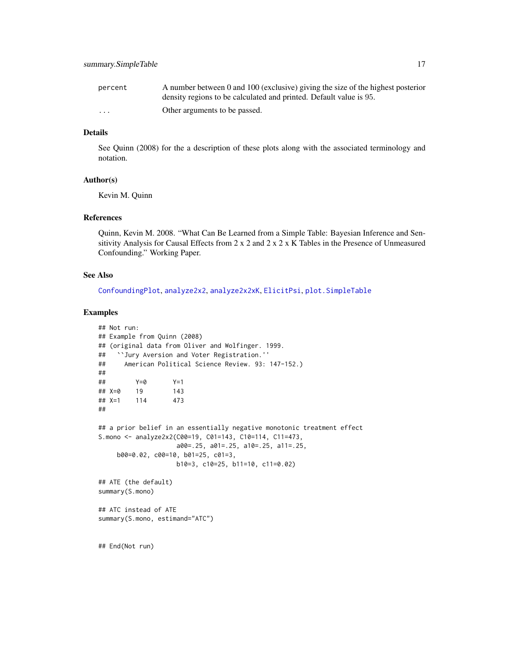<span id="page-16-0"></span>

| percent                 | A number between 0 and 100 (exclusive) giving the size of the highest posterior |
|-------------------------|---------------------------------------------------------------------------------|
|                         | density regions to be calculated and printed. Default value is 95.              |
| $\cdot$ $\cdot$ $\cdot$ | Other arguments to be passed.                                                   |

See Quinn (2008) for the a description of these plots along with the associated terminology and notation.

#### Author(s)

Kevin M. Quinn

#### References

Quinn, Kevin M. 2008. "What Can Be Learned from a Simple Table: Bayesian Inference and Sensitivity Analysis for Causal Effects from 2 x 2 and 2 x 2 x K Tables in the Presence of Unmeasured Confounding." Working Paper.

## See Also

[ConfoundingPlot](#page-6-1), [analyze2x2](#page-1-1), [analyze2x2xK](#page-3-1), [ElicitPsi](#page-9-1), [plot.SimpleTable](#page-13-1)

#### Examples

```
## Not run:
## Example from Quinn (2008)
## (original data from Oliver and Wolfinger. 1999.
## ``Jury Aversion and Voter Registration.''
## American Political Science Review. 93: 147-152.)
##
## Y=0 Y=1
## X=0 19 143
## X=1 114 473
##
## a prior belief in an essentially negative monotonic treatment effect
S.mono <- analyze2x2(C00=19, C01=143, C10=114, C11=473,
                   a00=.25, a01=.25, a10=.25, a11=.25,
    b00=0.02, c00=10, b01=25, c01=3,
                   b10=3, c10=25, b11=10, c11=0.02)
## ATE (the default)
summary(S.mono)
## ATC instead of ATE
summary(S.mono, estimand="ATC")
## End(Not run)
```